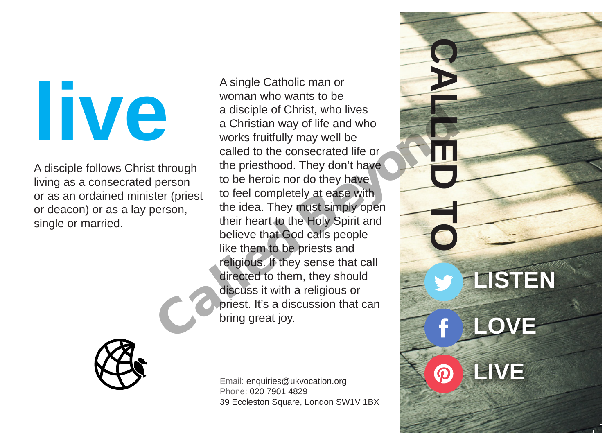## **live**

A disciple follows Christ through living as a consecrated person or as an ordained minister (priest or deacon) or as a lay person, single or married.

A single Catholic man or woman who wants to be a disciple of Christ, who lives a Christian way of life and who works fruitfully may well be called to the consecrated life or the priesthood. They don't have to be heroic nor do they have to feel completely at ease with the idea. They must simply open their heart to the Holy Spirit and believe that God calls people like them to be priests and religious. If they sense that call directed to them, they should discuss it with a religious or priest. It's a discussion that can a Christian way of life and who<br>works fruitfully may well be<br>called to the consecrated life or<br>through the priesthood. They don't have<br>person<br>to be heroic nor do they have<br>person, the idea. They must simply open<br>their hear



Email: enquiries@ukvocation.org Phone: 020 7901 4829 39 Eccleston Square, London SW1V 1BX